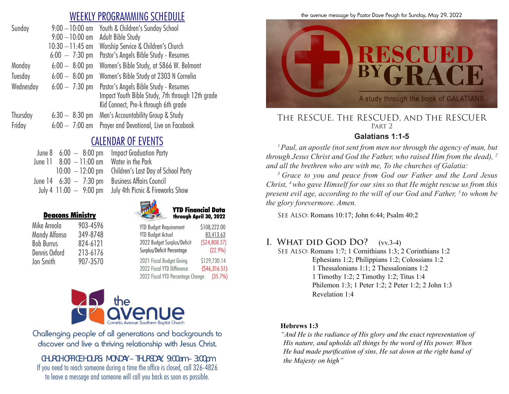### WEEKLY PROGRAMMING SCHEDULE

| Sunday    | $9:00 - 10:00$ am        | Youth & Children's Sunday School                                                                                                  |
|-----------|--------------------------|-----------------------------------------------------------------------------------------------------------------------------------|
|           | $9:00 - 10:00$ am        | Adult Bible Study                                                                                                                 |
|           | $10:30 - 11:45$ am       | Worship Service & Children's Church                                                                                               |
|           | $6:00 - 7:30 \text{ pm}$ | Pastor's Angels Bible Study - Resumes                                                                                             |
| Monday    | $6:00 - 8:00$ pm         | Women's Bible Study, at 5866 W. Belmont                                                                                           |
| Tuesday   | $6:00 - 8:00$ pm         | Women's Bible Study at 2303 N Cornelia                                                                                            |
| Wednesday | $6:00 - 7:30$ pm         | Pastor's Angels Bible Study - Resumes<br>Impact Youth Bible Study, 7th through 12th grade<br>Kid Connect, Pre-k through 6th grade |
| Thursday  | $6:30 - 8:30$ pm         | Men's Accountability Group & Study                                                                                                |
| Friday    | $6:00 - 7:00$ am         | Prayer and Devotional, Live on Facebook                                                                                           |
|           |                          |                                                                                                                                   |

# CALENDAR OF EVENTS

|                           | June $8\quad 6:00\;-\;8:00\;{\rm pm}$ Impact Graduation Party |
|---------------------------|---------------------------------------------------------------|
| June 11 $8:00 - 11:00$ am | Water in the Park                                             |
|                           | $10:00 - 12:00$ pm Children's Last Day of School Party        |
| June 14 $6:30 - 7:30$ pm  | Business Affairs Council                                      |
| July 4 $11:00 - 9:00$ pm  | July 4th Picnic & Fireworks Show                              |



 YTD Financial Data through April 30, 2022

| Mike Arreola      | 903-4596 |
|-------------------|----------|
| Mandy Alfonso     | 349-8748 |
| <b>Bob Burrus</b> | 824-6121 |
| Dennis Oxford     | 213-6176 |
| Jon Smith         | 907-3570 |

Deacons Ministry

| <b>YTD Budget Actual</b>    | 83,413.63     |
|-----------------------------|---------------|
| 2022 Budget Surplus/Deficit | (524, 808.37) |
| Surplus/Deficit Percentage  | (22.9%)       |
| 2021 Fiscal Budget Giving   | \$129,730.14  |

YTD Budget Requirement \$108,222.00

2022 Fiscal YTD Difference (\$46,316.51) 2022 Fiscal YTD Percentage Change (35.7%)



Challenging people of all generations and backgrounds to discover and live a thriving relationship with Jesus Christ.

*CHURCH OFFICE HOURS: MONDAY – THURSDAY, 9:00am – 3:00pm* If you need to reach someone during a time the office is closed, call 326-4826 to leave a message and someone will call you back as soon as possible.





#### The RESCUE, The RESCUED, and The RESCUER PART<sub>2</sub>

### **Galatians 1:1-5**

*1 Paul, an apostle (not sent from men nor through the agency of man, but through Jesus Christ and God the Father, who raised Him from the dead), 2 and all the brethren who are with me, To the churches of Galatia:* 

*3 Grace to you and peace from God our Father and the Lord Jesus Christ, 4 who gave Himself for our sins so that He might rescue us from this present evil age, according to the will of our God and Father, <sup>5</sup> to whom be the glory forevermore. Amen.* 

See Also: Romans 10:17; John 6:44; Psalm 40:2

### **I. WHAT DID GOD DO?** (vv.3-4)

SEE ALSO: Romans 1:7; 1 Cornithians 1:3; 2 Corinthians 1:2 Ephesians 1:2; Philippians 1:2; Colossians 1:2 1 Thessalonians 1:1; 2 Thessalonians 1:2 1 Timothy 1:2; 2 Timothy 1:2; Titus 1:4 Philemon 1:3; 1 Peter 1:2; 2 Peter 1:2; 2 John 1:3 Revelation 1:4

#### **Hebrews 1:3**

*"And He is the radiance of His glory and the exact representation of His nature, and upholds all things by the word of His power. When He had made purification of sins, He sat down at the right hand of the Majesty on high"*